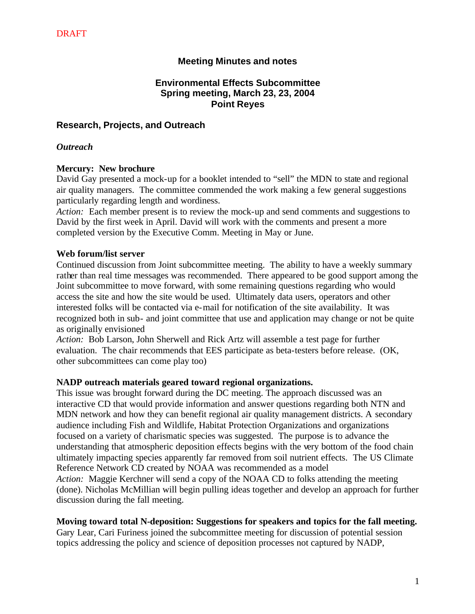# **Meeting Minutes and notes**

# **Environmental Effects Subcommittee Spring meeting, March 23, 23, 2004 Point Reyes**

#### **Research, Projects, and Outreach**

#### *Outreach*

#### **Mercury: New brochure**

David Gay presented a mock-up for a booklet intended to "sell" the MDN to state and regional air quality managers. The committee commended the work making a few general suggestions particularly regarding length and wordiness.

*Action:* Each member present is to review the mock-up and send comments and suggestions to David by the first week in April. David will work with the comments and present a more completed version by the Executive Comm. Meeting in May or June.

#### **Web forum/list server**

Continued discussion from Joint subcommittee meeting. The ability to have a weekly summary rather than real time messages was recommended. There appeared to be good support among the Joint subcommittee to move forward, with some remaining questions regarding who would access the site and how the site would be used. Ultimately data users, operators and other interested folks will be contacted via e-mail for notification of the site availability. It was recognized both in sub- and joint committee that use and application may change or not be quite as originally envisioned

*Action:* Bob Larson, John Sherwell and Rick Artz will assemble a test page for further evaluation. The chair recommends that EES participate as beta-testers before release. (OK, other subcommittees can come play too)

#### **NADP outreach materials geared toward regional organizations.**

This issue was brought forward during the DC meeting. The approach discussed was an interactive CD that would provide information and answer questions regarding both NTN and MDN network and how they can benefit regional air quality management districts. A secondary audience including Fish and Wildlife, Habitat Protection Organizations and organizations focused on a variety of charismatic species was suggested. The purpose is to advance the understanding that atmospheric deposition effects begins with the very bottom of the food chain ultimately impacting species apparently far removed from soil nutrient effects. The US Climate Reference Network CD created by NOAA was recommended as a model *Action:* Maggie Kerchner will send a copy of the NOAA CD to folks attending the meeting (done). Nicholas McMillian will begin pulling ideas together and develop an approach for further discussion during the fall meeting.

#### **Moving toward total N-deposition: Suggestions for speakers and topics for the fall meeting.**

Gary Lear, Cari Furiness joined the subcommittee meeting for discussion of potential session topics addressing the policy and science of deposition processes not captured by NADP,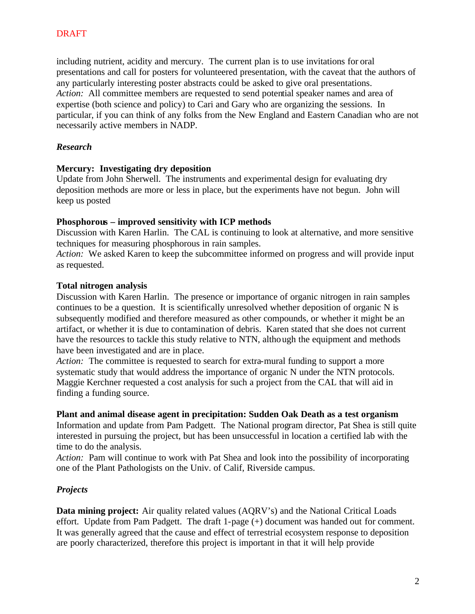including nutrient, acidity and mercury. The current plan is to use invitations for oral presentations and call for posters for volunteered presentation, with the caveat that the authors of any particularly interesting poster abstracts could be asked to give oral presentations. *Action:* All committee members are requested to send potential speaker names and area of expertise (both science and policy) to Cari and Gary who are organizing the sessions. In particular, if you can think of any folks from the New England and Eastern Canadian who are not necessarily active members in NADP.

# *Research*

## **Mercury: Investigating dry deposition**

Update from John Sherwell. The instruments and experimental design for evaluating dry deposition methods are more or less in place, but the experiments have not begun. John will keep us posted

## **Phosphorous – improved sensitivity with ICP methods**

Discussion with Karen Harlin. The CAL is continuing to look at alternative, and more sensitive techniques for measuring phosphorous in rain samples.

*Action:* We asked Karen to keep the subcommittee informed on progress and will provide input as requested.

## **Total nitrogen analysis**

Discussion with Karen Harlin. The presence or importance of organic nitrogen in rain samples continues to be a question. It is scientifically unresolved whether deposition of organic N is subsequently modified and therefore measured as other compounds, or whether it might be an artifact, or whether it is due to contamination of debris. Karen stated that she does not current have the resources to tackle this study relative to NTN, although the equipment and methods have been investigated and are in place.

*Action:* The committee is requested to search for extra-mural funding to support a more systematic study that would address the importance of organic N under the NTN protocols. Maggie Kerchner requested a cost analysis for such a project from the CAL that will aid in finding a funding source.

## **Plant and animal disease agent in precipitation: Sudden Oak Death as a test organism**

Information and update from Pam Padgett. The National program director, Pat Shea is still quite interested in pursuing the project, but has been unsuccessful in location a certified lab with the time to do the analysis.

*Action:* Pam will continue to work with Pat Shea and look into the possibility of incorporating one of the Plant Pathologists on the Univ. of Calif, Riverside campus.

## *Projects*

**Data mining project:** Air quality related values (AQRV's) and the National Critical Loads effort. Update from Pam Padgett. The draft 1-page (+) document was handed out for comment. It was generally agreed that the cause and effect of terrestrial ecosystem response to deposition are poorly characterized, therefore this project is important in that it will help provide